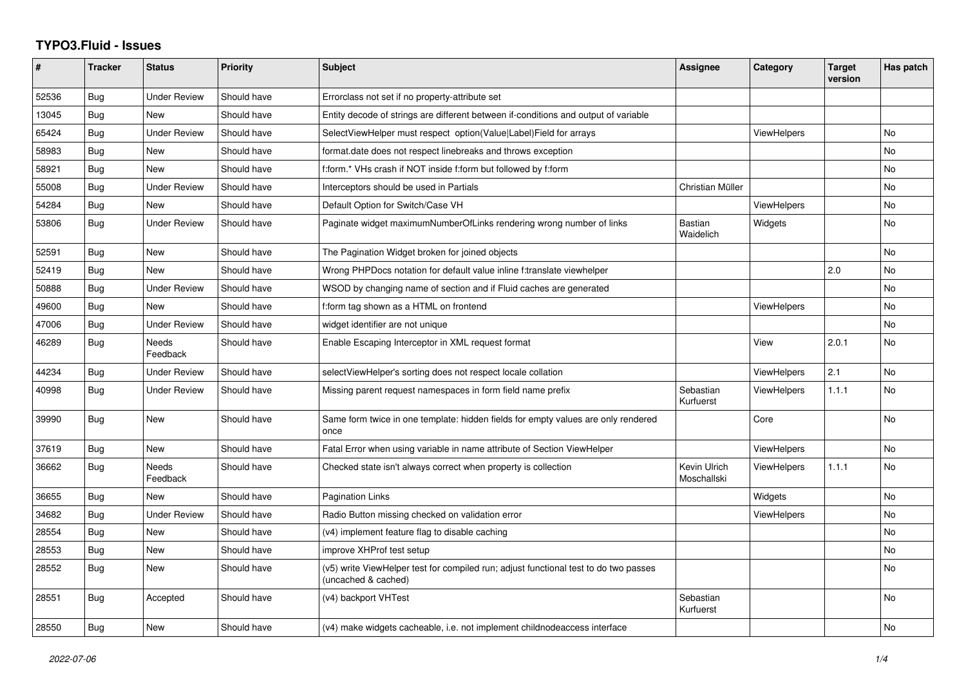## **TYPO3.Fluid - Issues**

| #     | <b>Tracker</b> | <b>Status</b>            | <b>Priority</b> | <b>Subject</b>                                                                                              | Assignee                    | Category           | <b>Target</b><br>version | Has patch |
|-------|----------------|--------------------------|-----------------|-------------------------------------------------------------------------------------------------------------|-----------------------------|--------------------|--------------------------|-----------|
| 52536 | Bug            | <b>Under Review</b>      | Should have     | Errorclass not set if no property-attribute set                                                             |                             |                    |                          |           |
| 13045 | <b>Bug</b>     | New                      | Should have     | Entity decode of strings are different between if-conditions and output of variable                         |                             |                    |                          |           |
| 65424 | Bug            | <b>Under Review</b>      | Should have     | SelectViewHelper must respect option(Value Label)Field for arrays                                           |                             | <b>ViewHelpers</b> |                          | <b>No</b> |
| 58983 | Bug            | New                      | Should have     | format.date does not respect linebreaks and throws exception                                                |                             |                    |                          | No        |
| 58921 | <b>Bug</b>     | New                      | Should have     | f:form.* VHs crash if NOT inside f:form but followed by f:form                                              |                             |                    |                          | <b>No</b> |
| 55008 | Bug            | Under Review             | Should have     | Interceptors should be used in Partials                                                                     | Christian Müller            |                    |                          | <b>No</b> |
| 54284 | Bug            | <b>New</b>               | Should have     | Default Option for Switch/Case VH                                                                           |                             | <b>ViewHelpers</b> |                          | No        |
| 53806 | <b>Bug</b>     | <b>Under Review</b>      | Should have     | Paginate widget maximumNumberOfLinks rendering wrong number of links                                        | <b>Bastian</b><br>Waidelich | Widgets            |                          | <b>No</b> |
| 52591 | <b>Bug</b>     | <b>New</b>               | Should have     | The Pagination Widget broken for joined objects                                                             |                             |                    |                          | <b>No</b> |
| 52419 | Bug            | New                      | Should have     | Wrong PHPDocs notation for default value inline f:translate viewhelper                                      |                             |                    | 2.0                      | No        |
| 50888 | Bug            | <b>Under Review</b>      | Should have     | WSOD by changing name of section and if Fluid caches are generated                                          |                             |                    |                          | <b>No</b> |
| 49600 | Bug            | New                      | Should have     | f:form tag shown as a HTML on frontend                                                                      |                             | <b>ViewHelpers</b> |                          | <b>No</b> |
| 47006 | Bug            | <b>Under Review</b>      | Should have     | widget identifier are not unique                                                                            |                             |                    |                          | <b>No</b> |
| 46289 | <b>Bug</b>     | Needs<br>Feedback        | Should have     | Enable Escaping Interceptor in XML request format                                                           |                             | View               | 2.0.1                    | <b>No</b> |
| 44234 | Bug            | Under Review             | Should have     | selectViewHelper's sorting does not respect locale collation                                                |                             | <b>ViewHelpers</b> | 2.1                      | <b>No</b> |
| 40998 | Bug            | <b>Under Review</b>      | Should have     | Missing parent request namespaces in form field name prefix                                                 | Sebastian<br>Kurfuerst      | <b>ViewHelpers</b> | 1.1.1                    | <b>No</b> |
| 39990 | <b>Bug</b>     | New                      | Should have     | Same form twice in one template: hidden fields for empty values are only rendered<br>once                   |                             | Core               |                          | <b>No</b> |
| 37619 | <b>Bug</b>     | New                      | Should have     | Fatal Error when using variable in name attribute of Section ViewHelper                                     |                             | <b>ViewHelpers</b> |                          | No        |
| 36662 | Bug            | <b>Needs</b><br>Feedback | Should have     | Checked state isn't always correct when property is collection                                              | Kevin Ulrich<br>Moschallski | <b>ViewHelpers</b> | 1.1.1                    | <b>No</b> |
| 36655 | Bug            | New                      | Should have     | <b>Pagination Links</b>                                                                                     |                             | Widgets            |                          | <b>No</b> |
| 34682 | Bug            | <b>Under Review</b>      | Should have     | Radio Button missing checked on validation error                                                            |                             | <b>ViewHelpers</b> |                          | No        |
| 28554 | <b>Bug</b>     | <b>New</b>               | Should have     | (v4) implement feature flag to disable caching                                                              |                             |                    |                          | <b>No</b> |
| 28553 | <b>Bug</b>     | New                      | Should have     | improve XHProf test setup                                                                                   |                             |                    |                          | No        |
| 28552 | Bug            | <b>New</b>               | Should have     | (v5) write ViewHelper test for compiled run; adjust functional test to do two passes<br>(uncached & cached) |                             |                    |                          | <b>No</b> |
| 28551 | <b>Bug</b>     | Accepted                 | Should have     | (v4) backport VHTest                                                                                        | Sebastian<br>Kurfuerst      |                    |                          | <b>No</b> |
| 28550 | Bug            | New                      | Should have     | (v4) make widgets cacheable, i.e. not implement childnodeaccess interface                                   |                             |                    |                          | No        |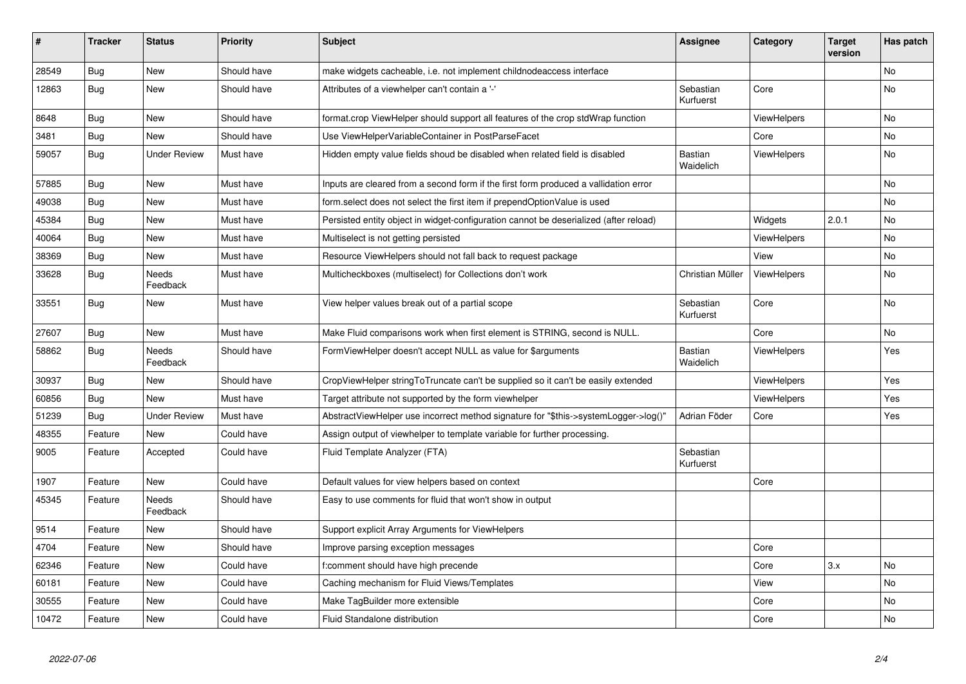| $\vert$ # | <b>Tracker</b> | <b>Status</b>       | <b>Priority</b> | <b>Subject</b>                                                                        | <b>Assignee</b>             | Category           | <b>Target</b><br>version | Has patch |
|-----------|----------------|---------------------|-----------------|---------------------------------------------------------------------------------------|-----------------------------|--------------------|--------------------------|-----------|
| 28549     | <b>Bug</b>     | New                 | Should have     | make widgets cacheable, i.e. not implement childnodeaccess interface                  |                             |                    |                          | <b>No</b> |
| 12863     | Bug            | New                 | Should have     | Attributes of a viewhelper can't contain a '-'                                        | Sebastian<br>Kurfuerst      | Core               |                          | No        |
| 8648      | Bug            | New                 | Should have     | format.crop ViewHelper should support all features of the crop stdWrap function       |                             | <b>ViewHelpers</b> |                          | <b>No</b> |
| 3481      | <b>Bug</b>     | New                 | Should have     | Use ViewHelperVariableContainer in PostParseFacet                                     |                             | Core               |                          | <b>No</b> |
| 59057     | <b>Bug</b>     | <b>Under Review</b> | Must have       | Hidden empty value fields shoud be disabled when related field is disabled            | <b>Bastian</b><br>Waidelich | ViewHelpers        |                          | No        |
| 57885     | Bug            | New                 | Must have       | Inputs are cleared from a second form if the first form produced a vallidation error  |                             |                    |                          | <b>No</b> |
| 49038     | Bug            | New                 | Must have       | form.select does not select the first item if prependOptionValue is used              |                             |                    |                          | <b>No</b> |
| 45384     | <b>Bug</b>     | <b>New</b>          | Must have       | Persisted entity object in widget-configuration cannot be deserialized (after reload) |                             | Widgets            | 2.0.1                    | <b>No</b> |
| 40064     | Bug            | <b>New</b>          | Must have       | Multiselect is not getting persisted                                                  |                             | <b>ViewHelpers</b> |                          | No        |
| 38369     | Bug            | New                 | Must have       | Resource ViewHelpers should not fall back to request package                          |                             | View               |                          | <b>No</b> |
| 33628     | <b>Bug</b>     | Needs<br>Feedback   | Must have       | Multicheckboxes (multiselect) for Collections don't work                              | Christian Müller            | <b>ViewHelpers</b> |                          | <b>No</b> |
| 33551     | Bug            | New                 | Must have       | View helper values break out of a partial scope                                       | Sebastian<br>Kurfuerst      | Core               |                          | No        |
| 27607     | Bug            | New                 | Must have       | Make Fluid comparisons work when first element is STRING, second is NULL.             |                             | Core               |                          | No        |
| 58862     | Bug            | Needs<br>Feedback   | Should have     | FormViewHelper doesn't accept NULL as value for \$arguments                           | Bastian<br>Waidelich        | ViewHelpers        |                          | Yes       |
| 30937     | Bug            | New                 | Should have     | CropViewHelper stringToTruncate can't be supplied so it can't be easily extended      |                             | ViewHelpers        |                          | Yes       |
| 60856     | <b>Bug</b>     | New                 | Must have       | Target attribute not supported by the form viewhelper                                 |                             | ViewHelpers        |                          | Yes       |
| 51239     | Bug            | Under Review        | Must have       | AbstractViewHelper use incorrect method signature for "\$this->systemLogger->log()"   | Adrian Föder                | Core               |                          | Yes       |
| 48355     | Feature        | New                 | Could have      | Assign output of viewhelper to template variable for further processing.              |                             |                    |                          |           |
| 9005      | Feature        | Accepted            | Could have      | Fluid Template Analyzer (FTA)                                                         | Sebastian<br>Kurfuerst      |                    |                          |           |
| 1907      | Feature        | <b>New</b>          | Could have      | Default values for view helpers based on context                                      |                             | Core               |                          |           |
| 45345     | Feature        | Needs<br>Feedback   | Should have     | Easy to use comments for fluid that won't show in output                              |                             |                    |                          |           |
| 9514      | Feature        | New                 | Should have     | Support explicit Array Arguments for ViewHelpers                                      |                             |                    |                          |           |
| 4704      | Feature        | New                 | Should have     | Improve parsing exception messages                                                    |                             | Core               |                          |           |
| 62346     | Feature        | New                 | Could have      | f:comment should have high precende                                                   |                             | Core               | 3.x                      | <b>No</b> |
| 60181     | Feature        | New                 | Could have      | Caching mechanism for Fluid Views/Templates                                           |                             | View               |                          | <b>No</b> |
| 30555     | Feature        | New                 | Could have      | Make TagBuilder more extensible                                                       |                             | Core               |                          | <b>No</b> |
| 10472     | Feature        | New                 | Could have      | Fluid Standalone distribution                                                         |                             | Core               |                          | No        |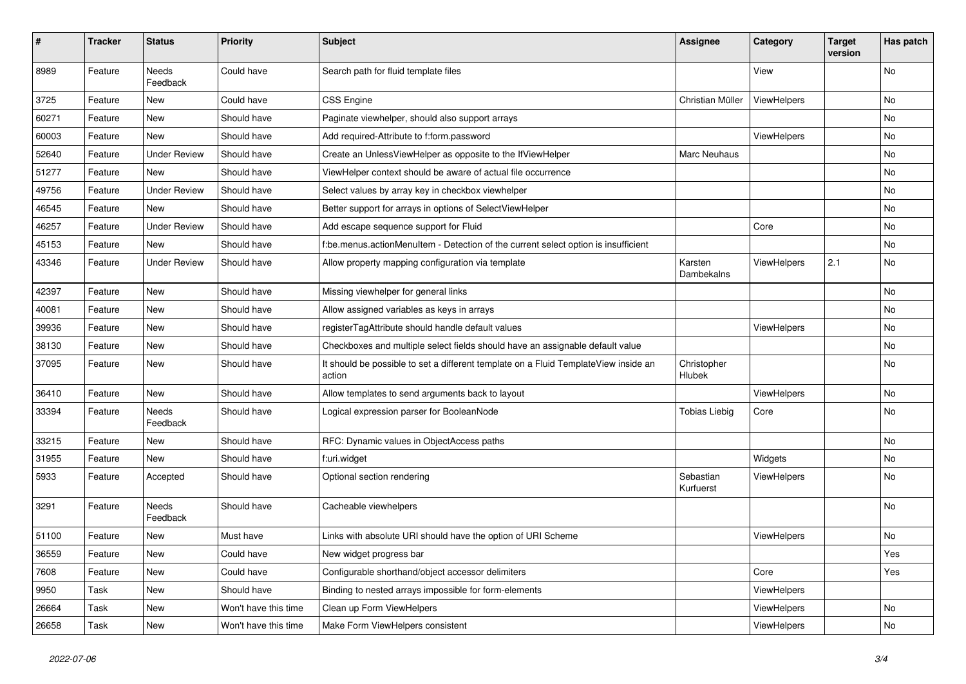| #     | <b>Tracker</b> | <b>Status</b>            | <b>Priority</b>      | Subject                                                                                       | <b>Assignee</b>        | Category    | <b>Target</b><br>version | Has patch |
|-------|----------------|--------------------------|----------------------|-----------------------------------------------------------------------------------------------|------------------------|-------------|--------------------------|-----------|
| 8989  | Feature        | <b>Needs</b><br>Feedback | Could have           | Search path for fluid template files                                                          |                        | View        |                          | <b>No</b> |
| 3725  | Feature        | New                      | Could have           | <b>CSS Engine</b>                                                                             | Christian Müller       | ViewHelpers |                          | No        |
| 60271 | Feature        | New                      | Should have          | Paginate viewhelper, should also support arrays                                               |                        |             |                          | <b>No</b> |
| 60003 | Feature        | New                      | Should have          | Add required-Attribute to f:form.password                                                     |                        | ViewHelpers |                          | No        |
| 52640 | Feature        | <b>Under Review</b>      | Should have          | Create an UnlessViewHelper as opposite to the IfViewHelper                                    | Marc Neuhaus           |             |                          | No        |
| 51277 | Feature        | New                      | Should have          | ViewHelper context should be aware of actual file occurrence                                  |                        |             |                          | No        |
| 49756 | Feature        | <b>Under Review</b>      | Should have          | Select values by array key in checkbox viewhelper                                             |                        |             |                          | No        |
| 46545 | Feature        | New                      | Should have          | Better support for arrays in options of SelectViewHelper                                      |                        |             |                          | No        |
| 46257 | Feature        | <b>Under Review</b>      | Should have          | Add escape sequence support for Fluid                                                         |                        | Core        |                          | No        |
| 45153 | Feature        | <b>New</b>               | Should have          | f:be.menus.actionMenuItem - Detection of the current select option is insufficient            |                        |             |                          | No        |
| 43346 | Feature        | <b>Under Review</b>      | Should have          | Allow property mapping configuration via template                                             | Karsten<br>Dambekalns  | ViewHelpers | 2.1                      | No        |
| 42397 | Feature        | <b>New</b>               | Should have          | Missing viewhelper for general links                                                          |                        |             |                          | <b>No</b> |
| 40081 | Feature        | New                      | Should have          | Allow assigned variables as keys in arrays                                                    |                        |             |                          | No        |
| 39936 | Feature        | New                      | Should have          | registerTagAttribute should handle default values                                             |                        | ViewHelpers |                          | No        |
| 38130 | Feature        | New                      | Should have          | Checkboxes and multiple select fields should have an assignable default value                 |                        |             |                          | <b>No</b> |
| 37095 | Feature        | New                      | Should have          | It should be possible to set a different template on a Fluid TemplateView inside an<br>action | Christopher<br>Hlubek  |             |                          | No        |
| 36410 | Feature        | New                      | Should have          | Allow templates to send arguments back to layout                                              |                        | ViewHelpers |                          | No        |
| 33394 | Feature        | Needs<br>Feedback        | Should have          | Logical expression parser for BooleanNode                                                     | <b>Tobias Liebig</b>   | Core        |                          | <b>No</b> |
| 33215 | Feature        | New                      | Should have          | RFC: Dynamic values in ObjectAccess paths                                                     |                        |             |                          | No        |
| 31955 | Feature        | New                      | Should have          | f:uri.widget                                                                                  |                        | Widgets     |                          | No        |
| 5933  | Feature        | Accepted                 | Should have          | Optional section rendering                                                                    | Sebastian<br>Kurfuerst | ViewHelpers |                          | <b>No</b> |
| 3291  | Feature        | <b>Needs</b><br>Feedback | Should have          | Cacheable viewhelpers                                                                         |                        |             |                          | <b>No</b> |
| 51100 | Feature        | New                      | Must have            | Links with absolute URI should have the option of URI Scheme                                  |                        | ViewHelpers |                          | No        |
| 36559 | Feature        | New                      | Could have           | New widget progress bar                                                                       |                        |             |                          | Yes       |
| 7608  | Feature        | New                      | Could have           | Configurable shorthand/object accessor delimiters                                             |                        | Core        |                          | Yes       |
| 9950  | Task           | New                      | Should have          | Binding to nested arrays impossible for form-elements                                         |                        | ViewHelpers |                          |           |
| 26664 | Task           | New                      | Won't have this time | Clean up Form ViewHelpers                                                                     |                        | ViewHelpers |                          | No        |
| 26658 | Task           | New                      | Won't have this time | Make Form ViewHelpers consistent                                                              |                        | ViewHelpers |                          | No        |